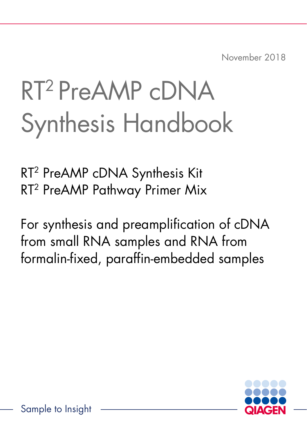November 2018

# RT2 PreAMP cDNA Synthesis Handbook

RT2 PreAMP cDNA Synthesis Kit RT2 PreAMP Pathway Primer Mix

For synthesis and preamplification of cDNA from small RNA samples and RNA from formalin-fixed, paraffin-embedded samples

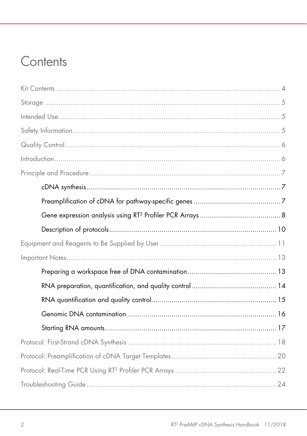# Contents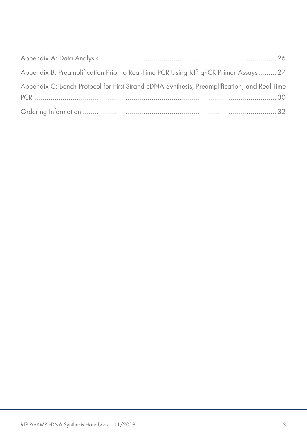| Appendix B: Preamplification Prior to Real-Time PCR Using RT <sup>2</sup> qPCR Primer Assays 27 |  |
|-------------------------------------------------------------------------------------------------|--|
| Appendix C: Bench Protocol for First-Strand cDNA Synthesis, Preamplification, and Real-Time     |  |
|                                                                                                 |  |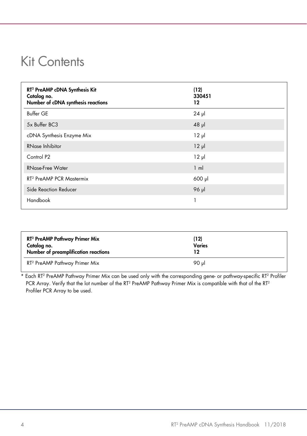# <span id="page-3-0"></span>Kit Contents

| RT <sup>2</sup> PreAMP cDNA Synthesis Kit<br>Catalog no.<br>Number of cDNA synthesis reactions | (12)<br>330451<br>12 |
|------------------------------------------------------------------------------------------------|----------------------|
| <b>Buffer GE</b>                                                                               | $24$ µ               |
| 5x Buffer BC3                                                                                  | $48$ pl              |
| cDNA Synthesis Enzyme Mix                                                                      | $12 \mu$             |
| <b>RNase Inhibitor</b>                                                                         | $12 \mu$             |
| Control P <sub>2</sub>                                                                         | $12 \mu$             |
| RNase-Free Water                                                                               | $1 \text{ ml}$       |
| RT <sup>2</sup> PreAMP PCR Mastermix                                                           | 600 µl               |
| Side Reaction Reducer                                                                          | 96 µl                |
| Handbook                                                                                       |                      |

| RT <sup>2</sup> PreAMP Pathway Primer Mix<br>Catalog no.<br>Number of preamplification reactions | (12)<br><b>Varies</b><br>12 |  |
|--------------------------------------------------------------------------------------------------|-----------------------------|--|
| RT <sup>2</sup> PreAMP Pathway Primer Mix                                                        | 90 ul                       |  |

\* Each RT<sup>2</sup> PreAMP Pathway Primer Mix can be used only with the corresponding gene- or pathway-specific RT<sup>2</sup> Profiler PCR Array. Verify that the lot number of the RT<sup>2</sup> PreAMP Pathway Primer Mix is compatible with that of the RT<sup>2</sup> Profiler PCR Array to be used.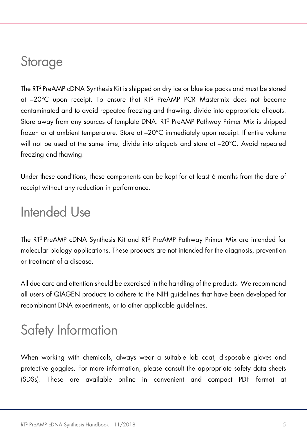# <span id="page-4-0"></span>**Storage**

The RT2 PreAMP cDNA Synthesis Kit is shipped on dry ice or blue ice packs and must be stored at –20°C upon receipt. To ensure that RT2 PreAMP PCR Mastermix does not become contaminated and to avoid repeated freezing and thawing, divide into appropriate aliquots. Store away from any sources of template DNA. RT2 PreAMP Pathway Primer Mix is shipped frozen or at ambient temperature. Store at –20°C immediately upon receipt. If entire volume will not be used at the same time, divide into aliquots and store at –20°C. Avoid repeated freezing and thawing.

Under these conditions, these components can be kept for at least 6 months from the date of receipt without any reduction in performance.

# <span id="page-4-1"></span>Intended Use

The RT2 PreAMP cDNA Synthesis Kit and RT2 PreAMP Pathway Primer Mix are intended for molecular biology applications. These products are not intended for the diagnosis, prevention or treatment of a disease.

All due care and attention should be exercised in the handling of the products. We recommend all users of QIAGEN products to adhere to the NIH guidelines that have been developed for recombinant DNA experiments, or to other applicable guidelines.

# <span id="page-4-2"></span>Safety Information

When working with chemicals, always wear a suitable lab coat, disposable gloves and protective goggles. For more information, please consult the appropriate safety data sheets (SDSs). These are available online in convenient and compact PDF format at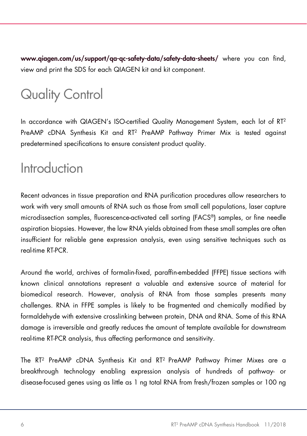[www.qiagen.com/us/support/qa-qc-safety-data/safety-data-sheets/](http://www.qiagen.com/us/support/qa-qc-safety-data/safety-data-sheets/) where you can find, view and print the SDS for each QIAGEN kit and kit component.

# <span id="page-5-0"></span>Quality Control

In accordance with QIAGEN's ISO-certified Quality Management System, each lot of RT<sup>2</sup> PreAMP cDNA Synthesis Kit and RT2 PreAMP Pathway Primer Mix is tested against predetermined specifications to ensure consistent product quality.

# <span id="page-5-1"></span>Introduction

Recent advances in tissue preparation and RNA purification procedures allow researchers to work with very small amounts of RNA such as those from small cell populations, laser capture microdissection samples, fluorescence-activated cell sorting (FACS®) samples, or fine needle aspiration biopsies. However, the low RNA yields obtained from these small samples are often insufficient for reliable gene expression analysis, even using sensitive techniques such as real-time RT-PCR.

Around the world, archives of formalin-fixed, paraffin-embedded (FFPE) tissue sections with known clinical annotations represent a valuable and extensive source of material for biomedical research. However, analysis of RNA from those samples presents many challenges. RNA in FFPE samples is likely to be fragmented and chemically modified by formaldehyde with extensive crosslinking between protein, DNA and RNA. Some of this RNA damage is irreversible and greatly reduces the amount of template available for downstream real-time RT-PCR analysis, thus affecting performance and sensitivity.

The RT2 PreAMP cDNA Synthesis Kit and RT2 PreAMP Pathway Primer Mixes are a breakthrough technology enabling expression analysis of hundreds of pathway- or disease-focused genes using as little as 1 ng total RNA from fresh/frozen samples or 100 ng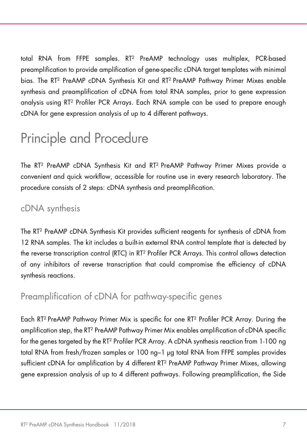total RNA from FFPE samples. RT2 PreAMP technology uses multiplex, PCR-based preamplification to provide amplification of gene-specific cDNA target templates with minimal bias. The RT2 PreAMP cDNA Synthesis Kit and RT2 PreAMP Pathway Primer Mixes enable synthesis and preamplification of cDNA from total RNA samples, prior to gene expression analysis using RT2 Profiler PCR Arrays. Each RNA sample can be used to prepare enough cDNA for gene expression analysis of up to 4 different pathways.

# <span id="page-6-0"></span>Principle and Procedure

The RT2 PreAMP cDNA Synthesis Kit and RT2 PreAMP Pathway Primer Mixes provide a convenient and quick workflow, accessible for routine use in every research laboratory. The procedure consists of 2 steps: cDNA synthesis and preamplification.

### <span id="page-6-1"></span>cDNA synthesis

The RT2 PreAMP cDNA Synthesis Kit provides sufficient reagents for synthesis of cDNA from 12 RNA samples. The kit includes a built-in external RNA control template that is detected by the reverse transcription control (RTC) in RT2 Profiler PCR Arrays. This control allows detection of any inhibitors of reverse transcription that could compromise the efficiency of cDNA synthesis reactions.

# <span id="page-6-2"></span>Preamplification of cDNA for pathway-specific genes

Each RT2 PreAMP Pathway Primer Mix is specific for one RT2 Profiler PCR Array. During the amplification step, the RT2 PreAMP Pathway Primer Mix enables amplification of cDNA specific for the genes targeted by the RT<sup>2</sup> Profiler PCR Array. A cDNA synthesis reaction from 1-100 ng total RNA from fresh/frozen samples or 100 ng–1 µg total RNA from FFPE samples provides sufficient cDNA for amplification by 4 different RT2 PreAMP Pathway Primer Mixes, allowing gene expression analysis of up to 4 different pathways. Following preamplification, the Side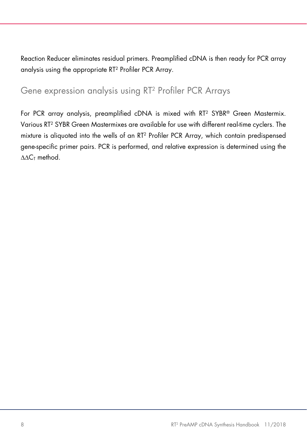Reaction Reducer eliminates residual primers. Preamplified cDNA is then ready for PCR array analysis using the appropriate RT2 Profiler PCR Array.

# <span id="page-7-0"></span>Gene expression analysis using RT2 Profiler PCR Arrays

For PCR array analysis, preamplified cDNA is mixed with RT<sup>2</sup> SYBR® Green Mastermix. Various RT2 SYBR Green Mastermixes are available for use with different real-time cyclers. The mixture is aliquoted into the wells of an RT2 Profiler PCR Array, which contain predispensed gene-specific primer pairs. PCR is performed, and relative expression is determined using the ∆∆CT method.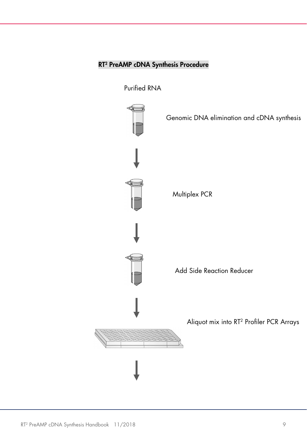### RT2 PreAMP cDNA Synthesis Procedure

Purified RNA

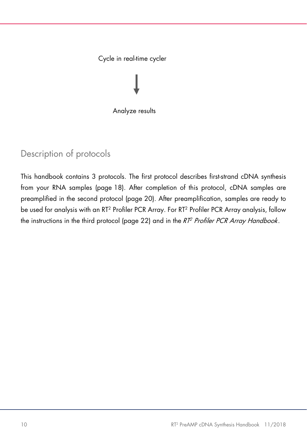### Cycle in real-time cycler

Analyze results

# <span id="page-9-0"></span>Description of protocols

This handbook contains 3 protocols. The first protocol describes first-strand cDNA synthesis from your RNA samples ([page](#page-17-1) 18). After completion of this protocol, cDNA samples are preamplified in the second protocol [\(page 20\).](#page-19-1) After preamplification, samples are ready to be used for analysis with an RT<sup>2</sup> Profiler PCR Array. For RT<sup>2</sup> Profiler PCR Array analysis, follow the instructions in the third protocol ([page 22\)](#page-21-1) and in the *RT<sup>2</sup> Profiler PCR Array Handbook*.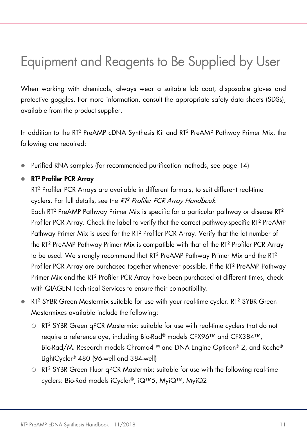# <span id="page-10-0"></span>Equipment and Reagents to Be Supplied by User

When working with chemicals, always wear a suitable lab coat, disposable gloves and protective goggles. For more information, consult the appropriate safety data sheets (SDSs), available from the product supplier.

In addition to the RT<sup>2</sup> PreAMP cDNA Synthesis Kit and RT<sup>2</sup> PreAMP Pathway Primer Mix, the following are required:

Purified RNA samples (for recommended purification methods, see [page 14\)](#page-13-1)

### ● RT<sup>2</sup> Profiler PCR Array

RT<sup>2</sup> Profiler PCR Arrays are available in different formats, to suit different real-time cyclers. For full details, see the RT<sup>2</sup> Profiler PCR Array Handbook.

Each RT2 PreAMP Pathway Primer Mix is specific for a particular pathway or disease RT2 Profiler PCR Array. Check the label to verify that the correct pathway-specific RT2 PreAMP Pathway Primer Mix is used for the RT2 Profiler PCR Array. Verify that the lot number of the RT2 PreAMP Pathway Primer Mix is compatible with that of the RT2 Profiler PCR Array to be used. We strongly recommend that RT<sup>2</sup> PreAMP Pathway Primer Mix and the RT<sup>2</sup> Profiler PCR Array are purchased together whenever possible. If the RT<sup>2</sup> PreAMP Pathway Primer Mix and the RT2 Profiler PCR Array have been purchased at different times, check with QIAGEN Technical Services to ensure their compatibility.

- RT<sup>2</sup> SYBR Green Mastermix suitable for use with your real-time cycler. RT<sup>2</sup> SYBR Green Mastermixes available include the following:
	- RT2 SYBR Green qPCR Mastermix: suitable for use with real-time cyclers that do not require a reference dye, including Bio-Rad® models CFX96™ and CFX384™, Bio-Rad/MJ Research models Chromo4™ and DNA Engine Opticon® 2, and Roche® LightCycler® 480 (96-well and 384-well)
	- $\circ$  RT<sup>2</sup> SYBR Green Fluor aPCR Mastermix: suitable for use with the following real-time cyclers: Bio-Rad models iCycler®, iQ™5, MyiQ™, MyiQ2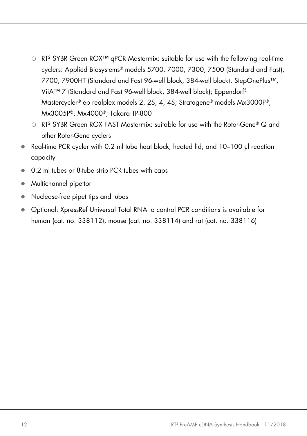- RT2 SYBR Green ROX™ qPCR Mastermix: suitable for use with the following real-time cyclers: Applied Biosystems® models 5700, 7000, 7300, 7500 (Standard and Fast), 7700, 7900HT (Standard and Fast 96-well block, 384-well block), StepOnePlus™, ViiA™ 7 (Standard and Fast 96-well block, 384-well block); Eppendorf® Mastercycler® ep realplex models 2, 2S, 4, 4S; Stratagene® models Mx3000P®, Mx3005P®, Mx4000®; Takara TP-800
- $\circ$  RT<sup>2</sup> SYBR Green ROX FAST Mastermix: suitable for use with the Rotor-Gene® Q and other Rotor-Gene cyclers
- Real-time PCR cycler with 0.2 ml tube heat block, heated lid, and 10–100 µl reaction capacity
- 0.2 ml tubes or 8-tube strip PCR tubes with caps
- Multichannel pipettor
- Nuclease-free pipet tips and tubes
- Optional: XpressRef Universal Total RNA to control PCR conditions is available for human (cat. no. 338112), mouse (cat. no. 338114) and rat (cat. no. 338116)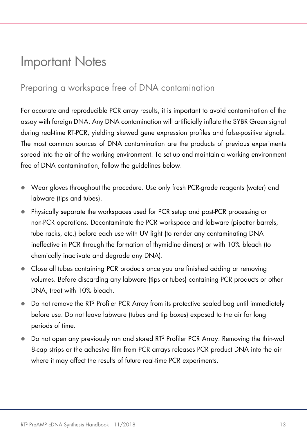# <span id="page-12-2"></span><span id="page-12-0"></span>Important Notes

# <span id="page-12-1"></span>Preparing a workspace free of DNA contamination

For accurate and reproducible PCR array results, it is important to avoid contamination of the assay with foreign DNA. Any DNA contamination will artificially inflate the SYBR Green signal during real-time RT-PCR, yielding skewed gene expression profiles and false-positive signals. The most common sources of DNA contamination are the products of previous experiments spread into the air of the working environment. To set up and maintain a working environment free of DNA contamination, follow the guidelines below.

- Wear gloves throughout the procedure. Use only fresh PCR-grade reagents (water) and labware (tips and tubes).
- Physically separate the workspaces used for PCR setup and post-PCR processing or non-PCR operations. Decontaminate the PCR workspace and labware (pipettor barrels, tube racks, etc.) before each use with UV light (to render any contaminating DNA ineffective in PCR through the formation of thymidine dimers) or with 10% bleach (to chemically inactivate and degrade any DNA).
- Close all tubes containing PCR products once you are finished adding or removing volumes. Before discarding any labware (tips or tubes) containing PCR products or other DNA, treat with 10% bleach.
- Do not remove the RT<sup>2</sup> Profiler PCR Array from its protective sealed bag until immediately before use. Do not leave labware (tubes and tip boxes) exposed to the air for long periods of time.
- Do not open any previously run and stored RT2 Profiler PCR Array. Removing the thin-wall 8-cap strips or the adhesive film from PCR arrays releases PCR product DNA into the air where it may affect the results of future real-time PCR experiments.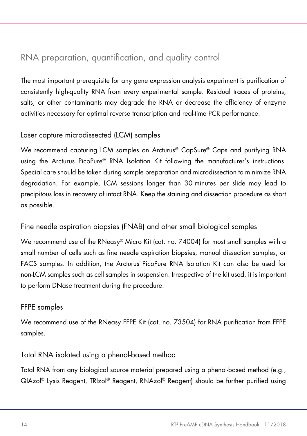# <span id="page-13-1"></span><span id="page-13-0"></span>RNA preparation, quantification, and quality control

The most important prerequisite for any gene expression analysis experiment is purification of consistently high-quality RNA from every experimental sample. Residual traces of proteins, salts, or other contaminants may degrade the RNA or decrease the efficiency of enzyme activities necessary for optimal reverse transcription and real-time PCR performance.

### Laser capture microdissected (LCM) samples

We recommend capturing LCM samples on Arcturus® CapSure® Caps and purifying RNA using the Arcturus PicoPure® RNA Isolation Kit following the manufacturer's instructions. Special care should be taken during sample preparation and microdissection to minimize RNA degradation. For example, LCM sessions longer than 30 minutes per slide may lead to precipitous loss in recovery of intact RNA. Keep the staining and dissection procedure as short as possible.

### Fine needle aspiration biopsies (FNAB) and other small biological samples

We recommend use of the RNeasy® Micro Kit (cat. no. 74004) for most small samples with a small number of cells such as fine needle aspiration biopsies, manual dissection samples, or FACS samples. In addition, the Arcturus PicoPure RNA Isolation Kit can also be used for non-LCM samples such as cell samples in suspension. Irrespective of the kit used, it is important to perform DNase treatment during the procedure.

### FFPE samples

We recommend use of the RNeasy FFPE Kit (cat. no. 73504) for RNA purification from FFPE samples.

### Total RNA isolated using a phenol-based method

Total RNA from any biological source material prepared using a phenol-based method (e.g., QIAzol® Lysis Reagent, TRIzol® Reagent, RNAzol® Reagent) should be further purified using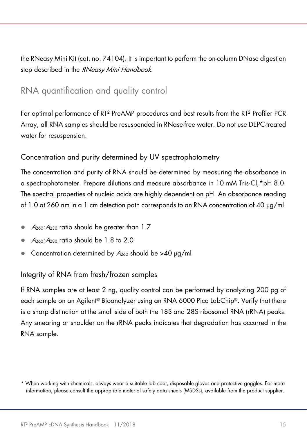the RNeasy Mini Kit (cat. no. 74104). It is important to perform the on-column DNase digestion step described in the RNeasy Mini Handbook.

# <span id="page-14-0"></span>RNA quantification and quality control

For optimal performance of RT2 PreAMP procedures and best results from the RT2 Profiler PCR Array, all RNA samples should be resuspended in RNase-free water. Do not use DEPC-treated water for resuspension.

### Concentration and purity determined by UV spectrophotometry

The concentration and purity of RNA should be determined by measuring the absorbance in a spectrophotometer. Prepare dilutions and measure absorbance in 10 mM Tris·Cl,[\\*](#page-14-1)pH 8.0. The spectral properties of nucleic acids are highly dependent on pH. An absorbance reading of 1.0 at 260 nm in a 1 cm detection path corresponds to an RNA concentration of 40 µg/ml.

- $\bullet$   $A_{260}$ : $A_{230}$  ratio should be greater than 1.7
- A260:A<sup>280</sup> ratio should be 1.8 to 2.0
- Concentration determined by  $A_{260}$  should be >40 µg/ml

### Integrity of RNA from fresh/frozen samples

If RNA samples are at least 2 ng, quality control can be performed by analyzing 200 pg of each sample on an Agilent® Bioanalyzer using an RNA 6000 Pico LabChip®. Verify that there is a sharp distinction at the small side of both the 18S and 28S ribosomal RNA (rRNA) peaks. Any smearing or shoulder on the rRNA peaks indicates that degradation has occurred in the RNA sample.

<span id="page-14-1"></span><sup>\*</sup> When working with chemicals, always wear a suitable lab coat, disposable gloves and protective goggles. For more information, please consult the appropriate material safety data sheets (MSDSs), available from the product supplier.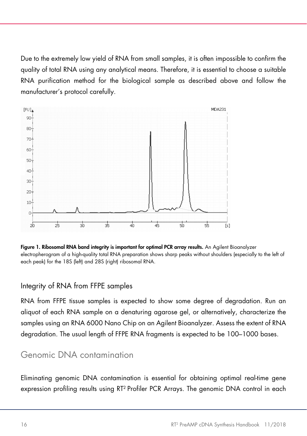Due to the extremely low yield of RNA from small samples, it is often impossible to confirm the quality of total RNA using any analytical means. Therefore, it is essential to choose a suitable RNA purification method for the biological sample as described above and follow the manufacturer's protocol carefully.



Figure 1. Ribosomal RNA band integrity is important for optimal PCR array results. An Agilent Bioanalyzer electropherogram of a high-quality total RNA preparation shows sharp peaks without shoulders (especially to the left of each peak) for the 18S (left) and 28S (right) ribosomal RNA.

### Integrity of RNA from FFPE samples

RNA from FFPE tissue samples is expected to show some degree of degradation. Run an aliquot of each RNA sample on a denaturing agarose gel, or alternatively, characterize the samples using an RNA 6000 Nano Chip on an Agilent Bioanalyzer. Assess the extent of RNA degradation. The usual length of FFPE RNA fragments is expected to be 100–1000 bases.

## <span id="page-15-0"></span>Genomic DNA contamination

Eliminating genomic DNA contamination is essential for obtaining optimal real-time gene expression profiling results using RT2 Profiler PCR Arrays. The genomic DNA control in each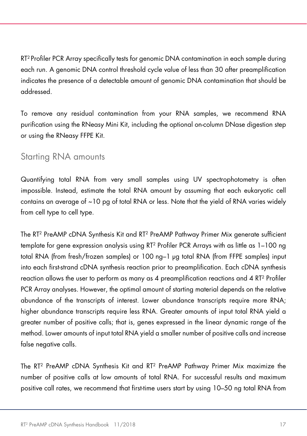RT2 Profiler PCR Array specifically tests for genomic DNA contamination in each sample during each run. A genomic DNA control threshold cycle value of less than 30 after preamplification indicates the presence of a detectable amount of genomic DNA contamination that should be addressed.

To remove any residual contamination from your RNA samples, we recommend RNA purification using the RNeasy Mini Kit, including the optional on-column DNase digestion step or using the RNeasy FFPE Kit.

### <span id="page-16-0"></span>Starting RNA amounts

Quantifying total RNA from very small samples using UV spectrophotometry is often impossible. Instead, estimate the total RNA amount by assuming that each eukaryotic cell contains an average of ~10 pg of total RNA or less. Note that the yield of RNA varies widely from cell type to cell type.

The RT2 PreAMP cDNA Synthesis Kit and RT2 PreAMP Pathway Primer Mix generate sufficient template for gene expression analysis using RT2 Profiler PCR Arrays with as little as 1–100 ng total RNA (from fresh/frozen samples) or 100 ng–1 µg total RNA (from FFPE samples) input into each first-strand cDNA synthesis reaction prior to preamplification. Each cDNA synthesis reaction allows the user to perform as many as 4 preamplification reactions and 4 RT2 Profiler PCR Array analyses. However, the optimal amount of starting material depends on the relative abundance of the transcripts of interest. Lower abundance transcripts require more RNA; higher abundance transcripts require less RNA. Greater amounts of input total RNA yield a greater number of positive calls; that is, genes expressed in the linear dynamic range of the method. Lower amounts of input total RNA yield a smaller number of positive calls and increase false negative calls.

The RT2 PreAMP cDNA Synthesis Kit and RT2 PreAMP Pathway Primer Mix maximize the number of positive calls at low amounts of total RNA. For successful results and maximum positive call rates, we recommend that first-time users start by using 10–50 ng total RNA from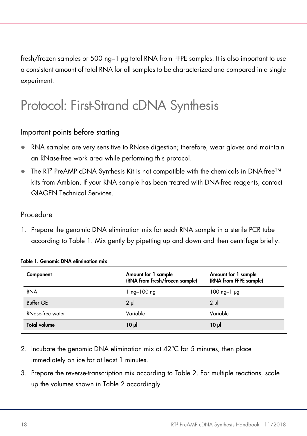<span id="page-17-1"></span>fresh/frozen samples or 500 ng–1 µg total RNA from FFPE samples. It is also important to use a consistent amount of total RNA for all samples to be characterized and compared in a single experiment.

# <span id="page-17-0"></span>Protocol: First-Strand cDNA Synthesis

### Important points before starting

- RNA samples are very sensitive to RNase digestion; therefore, wear gloves and maintain an RNase-free work area while performing this protocol.
- The RT<sup>2</sup> PreAMP cDNA Synthesis Kit is not compatible with the chemicals in DNA-free™ kits from Ambion. If your RNA sample has been treated with DNA-free reagents, contact QIAGEN Technical Services.

### Procedure

1. Prepare the genomic DNA elimination mix for each RNA sample in a sterile PCR tube according to [Table 1.](#page-17-2) Mix gently by pipetting up and down and then centrifuge briefly.

| Component           | Amount for 1 sample<br>(RNA from fresh/frozen sample) | Amount for 1 sample<br>(RNA from FFPE sample) |
|---------------------|-------------------------------------------------------|-----------------------------------------------|
| <b>RNA</b>          | $1$ ng $-100$ ng                                      | $100$ ng-1 $\mu$ g                            |
| Buffer GE           | $2 \mu$                                               | $2 \mu$                                       |
| RNase-free water    | Variable                                              | Variable                                      |
| <b>Total volume</b> | $10 \mu$                                              | $10 \mu$                                      |

<span id="page-17-2"></span>

|  |  | Table 1. Genomic DNA elimination mix |  |
|--|--|--------------------------------------|--|
|  |  |                                      |  |

- 2. Incubate the genomic DNA elimination mix at 42°C for 5 minutes, then place immediately on ice for at least 1 minutes.
- 3. Prepare the reverse-transcription mix according to [Table 2.](#page-18-0) For multiple reactions, scale up the volumes shown in [Table 2](#page-18-0) accordingly.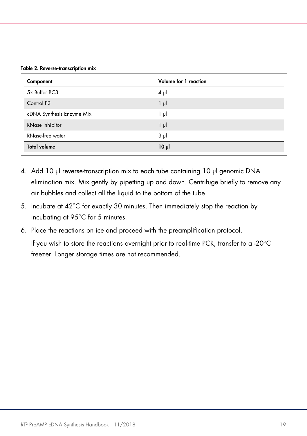<span id="page-18-0"></span>Table 2. Reverse-transcription mix

| Component                 | Volume for 1 reaction |
|---------------------------|-----------------------|
| 5x Buffer BC3             | $4 \mu$               |
| Control P <sub>2</sub>    | $1 \mu$               |
| cDNA Synthesis Enzyme Mix | l µl                  |
| RNase Inhibitor           | $1 \mu$               |
| RNase-free water          | 3 µl                  |
| <b>Total volume</b>       | $10 \mu$              |

- 4. Add 10 µl reverse-transcription mix to each tube containing 10 µl genomic DNA elimination mix. Mix gently by pipetting up and down. Centrifuge briefly to remove any air bubbles and collect all the liquid to the bottom of the tube.
- 5. Incubate at 42°C for exactly 30 minutes. Then immediately stop the reaction by incubating at 95°C for 5 minutes.
- 6. Place the reactions on ice and proceed with the preamplification protocol. If you wish to store the reactions overnight prior to real-time PCR, transfer to a -20°C freezer. Longer storage times are not recommended.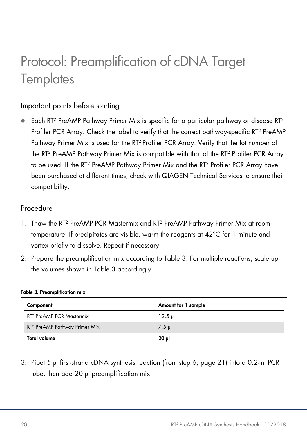# <span id="page-19-1"></span><span id="page-19-0"></span>Protocol: Preamplification of cDNA Target **Templates**

### Important points before starting

 Each RT2 PreAMP Pathway Primer Mix is specific for a particular pathway or disease RT2 Profiler PCR Array. Check the label to verify that the correct pathway-specific RT2 PreAMP Pathway Primer Mix is used for the RT2 Profiler PCR Array. Verify that the lot number of the RT2 PreAMP Pathway Primer Mix is compatible with that of the RT2 Profiler PCR Array to be used. If the RT2 PreAMP Pathway Primer Mix and the RT2 Profiler PCR Array have been purchased at different times, check with QIAGEN Technical Services to ensure their compatibility.

### Procedure

- 1. Thaw the RT2 PreAMP PCR Mastermix and RT2 PreAMP Pathway Primer Mix at room temperature. If precipitates are visible, warm the reagents at 42°C for 1 minute and vortex briefly to dissolve. Repeat if necessary.
- 2. Prepare the preamplification mix according to [Table 3.](#page-19-2) For multiple reactions, scale up the volumes shown in [Table 3](#page-19-2) accordingly.

| Component                                 | Amount for 1 sample |
|-------------------------------------------|---------------------|
| RT <sup>2</sup> PreAMP PCR Mastermix      | $12.5$ pl           |
| RT <sup>2</sup> PreAMP Pathway Primer Mix | $7.5$ pl            |
| <b>Total volume</b>                       | $20 \mu$            |

#### <span id="page-19-2"></span>Table 3. Preamplification mix

3. Pipet 5 µl first-strand cDNA synthesis reaction (from step 6, page 21) into a 0.2-ml PCR tube, then add 20 ul preamplification mix.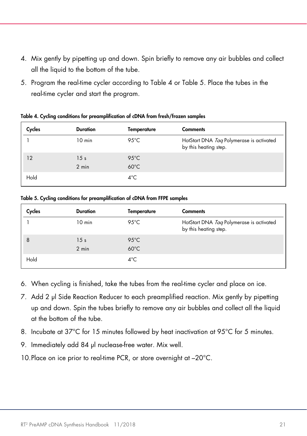- 4. Mix gently by pipetting up and down. Spin briefly to remove any air bubbles and collect all the liquid to the bottom of the tube.
- 5. Program the real-time cycler according to [Table 4](#page-20-0) or [Table 5.](#page-20-1) Place the tubes in the real-time cycler and start the program.

| Cycles | <b>Duration</b> | Temperature    | <b>Comments</b>                                                   |
|--------|-----------------|----------------|-------------------------------------------------------------------|
|        | $10$ min        | 95 $°C$        | HotStart DNA Taq Polymerase is activated<br>by this heating step. |
| 12     | 15 <sub>s</sub> | $95^{\circ}$ C |                                                                   |
|        | $2 \text{ min}$ | $60^{\circ}$ C |                                                                   |
| Hold   |                 | $4^{\circ}$ C  |                                                                   |

<span id="page-20-0"></span>Table 4. Cycling conditions for preamplification of cDNA from fresh/frozen samples

<span id="page-20-1"></span>Table 5. Cycling conditions for preamplification of cDNA from FFPE samples

| Cycles | <b>Duration</b> | Temperature    | <b>Comments</b>                                                   |
|--------|-----------------|----------------|-------------------------------------------------------------------|
|        | $10$ min        | 95 $°C$        | HotStart DNA Tag Polymerase is activated<br>by this heating step. |
| 8      | 15 <sub>s</sub> | $95^{\circ}$ C |                                                                   |
|        | $2 \text{ min}$ | $60^{\circ}$ C |                                                                   |
| Hold   |                 | $4^{\circ}$ C  |                                                                   |

- 6. When cycling is finished, take the tubes from the real-time cycler and place on ice.
- 7. Add 2 µl Side Reaction Reducer to each preamplified reaction. Mix gently by pipetting up and down. Spin the tubes briefly to remove any air bubbles and collect all the liquid at the bottom of the tube.
- 8. Incubate at 37°C for 15 minutes followed by heat inactivation at 95°C for 5 minutes.
- 9. Immediately add 84 µl nuclease-free water. Mix well.
- 10. Place on ice prior to real-time PCR, or store overnight at  $-20^{\circ}$ C.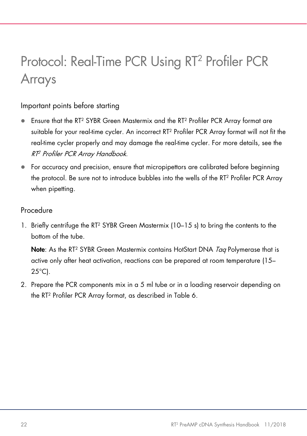# <span id="page-21-1"></span><span id="page-21-0"></span>Protocol: Real-Time PCR Using RT2 Profiler PCR Arrays

### Important points before starting

- Ensure that the RT2 SYBR Green Mastermix and the RT2 Profiler PCR Array format are suitable for your real-time cycler. An incorrect RT2 Profiler PCR Array format will not fit the real-time cycler properly and may damage the real-time cycler. For more details, see the RT2 Profiler PCR Array Handbook.
- For accuracy and precision, ensure that micropipettors are calibrated before beginning the protocol. Be sure not to introduce bubbles into the wells of the RT2 Profiler PCR Array when pipetting.

### Procedure

1. Briefly centrifuge the RT<sup>2</sup> SYBR Green Mastermix (10–15 s) to bring the contents to the bottom of the tube.

Note: As the RT<sup>2</sup> SYBR Green Mastermix contains HotStart DNA Tag Polymerase that is active only after heat activation, reactions can be prepared at room temperature (15–  $25^{\circ}$ C).

2. Prepare the PCR components mix in a 5 ml tube or in a loading reservoir depending on the RT2 Profiler PCR Array format, as described in [Table 6.](#page-22-0)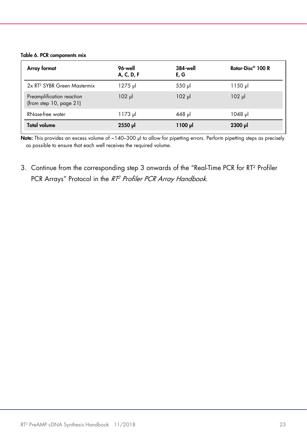#### <span id="page-22-0"></span>Table 6. PCR components mix

| Array format                                               | 96-well<br>A, C, D, F | <b>384-well</b><br>E, G | Rotor-Disc <sup>®</sup> 100 R |
|------------------------------------------------------------|-----------------------|-------------------------|-------------------------------|
| 2x RT <sup>2</sup> SYBR Green Mastermix                    | 1275 µl               | 550 µl                  | 1150 µl                       |
| Preamplification reaction<br>(from step $10$ , page $21$ ) | $102$ pl              | $102$ pl                | $102$ pl                      |
| RNase-free water                                           | $1173 \mu$            | 448 µl                  | $1048$ pl                     |
| <b>Total volume</b>                                        | 2550 µl               | $1100 \mu$              | $2300$ $\mu$                  |

Note: This provides an excess volume of ~140-300 µl to allow for pipetting errors. Perform pipetting steps as precisely as possible to ensure that each well receives the required volume.

3. Continue from the corresponding step 3 onwards of the "Real-Time PCR for RT2 Profiler PCR Arrays" Protocol in the RT<sup>2</sup> Profiler PCR Array Handbook.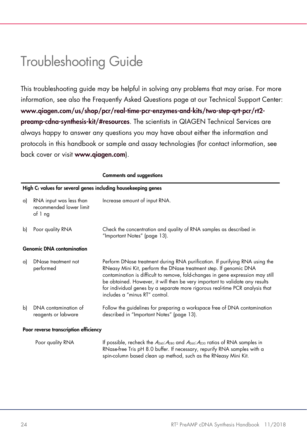# <span id="page-23-0"></span>Troubleshooting Guide

This troubleshooting guide may be helpful in solving any problems that may arise. For more information, see also the Frequently Asked Questions page at our Technical Support Center: [www.qiagen.com/us/shop/pcr/real-time-pcr-enzymes-and-kits/two-step-qrt-pcr/rt2](http://www.qiagen.com/us/shop/pcr/real-time-pcr-enzymes-and-kits/two-step-qrt-pcr/rt2-preamp-cdna-synthesis-kit/#resources) [preamp-cdna-synthesis-kit/#resources](http://www.qiagen.com/us/shop/pcr/real-time-pcr-enzymes-and-kits/two-step-qrt-pcr/rt2-preamp-cdna-synthesis-kit/#resources). The scientists in QIAGEN Technical Services are always happy to answer any questions you may have about either the information and protocols in this handbook or sample and assay technologies (for contact information, see back cover or visit [www.qiagen.com](https://www.qiagen.com/ph/)).

|    |                                                                 | <b>Comments and suggestions</b>                                                                                                                                                                                                                                                                                                                                                                                                       |  |  |
|----|-----------------------------------------------------------------|---------------------------------------------------------------------------------------------------------------------------------------------------------------------------------------------------------------------------------------------------------------------------------------------------------------------------------------------------------------------------------------------------------------------------------------|--|--|
|    | High $CT$ values for several genes including housekeeping genes |                                                                                                                                                                                                                                                                                                                                                                                                                                       |  |  |
| a) | RNA input was less than<br>recommended lower limit<br>of 1 ng   | Increase amount of input RNA.                                                                                                                                                                                                                                                                                                                                                                                                         |  |  |
| b) | Poor quality RNA                                                | Check the concentration and quality of RNA samples as described in<br>"Important Notes" (page 13).                                                                                                                                                                                                                                                                                                                                    |  |  |
|    | <b>Genomic DNA contamination</b>                                |                                                                                                                                                                                                                                                                                                                                                                                                                                       |  |  |
| a) | DNase treatment not<br>performed                                | Perform DNase treatment during RNA purification. If purifying RNA using the<br>RNeasy Mini Kit, perform the DNase treatment step. If genomic DNA<br>contamination is difficult to remove, fold-changes in gene expression may still<br>be obtained. However, it will then be very important to validate any results<br>for individual genes by a separate more rigorous real-time PCR analysis that<br>includes a "minus RT" control. |  |  |
| b) | DNA contamination of<br>reagents or labware                     | Follow the guidelines for preparing a workspace free of DNA contamination<br>described in "Important Notes" (page 13).                                                                                                                                                                                                                                                                                                                |  |  |
|    | Poor reverse transcription efficiency                           |                                                                                                                                                                                                                                                                                                                                                                                                                                       |  |  |

Poor quality RNA If possible, recheck the  $A_{260}$ : $A_{280}$  and  $A_{260}$ : $A_{230}$  ratios of RNA samples in

RNase-free Tris pH 8.0 buffer. If necessary, repurify RNA samples with a spin-column based clean up method, such as the RNeasy Mini Kit.

#### 24 RT2 PreAMP cDNA Synthesis Handbook 11/2018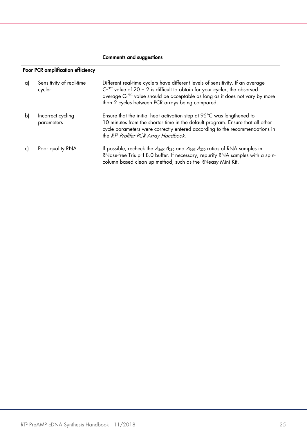#### Comments and suggestions

### Poor PCR amplification efficiency

| a) | Sensitivity of real-time<br>cycler | Different real-time cyclers have different levels of sensitivity. If an average<br>$C_1^{PPC}$ value of 20 $\pm$ 2 is difficult to obtain for your cycler, the observed<br>average C <sub>T</sub> <sup>PPC</sup> value should be acceptable as long as it does not vary by more<br>than 2 cycles between PCR arrays being compared. |
|----|------------------------------------|-------------------------------------------------------------------------------------------------------------------------------------------------------------------------------------------------------------------------------------------------------------------------------------------------------------------------------------|
| b) | Incorrect cycling<br>parameters    | Ensure that the initial heat activation step at 95°C was lengthened to<br>10 minutes from the shorter time in the default program. Ensure that all other<br>cycle parameters were correctly entered according to the recommendations in<br>the RT <sup>2</sup> Profiler PCR Array Handbook.                                         |
|    | Poor quality RNA                   | If possible, recheck the $A_{260}$ : $A_{280}$ and $A_{260}$ : $A_{230}$ ratios of RNA samples in<br>RNase-free Tris pH 8.0 buffer. If necessary, repurify RNA samples with a spin-<br>column based clean up method, such as the RNeasy Mini Kit.                                                                                   |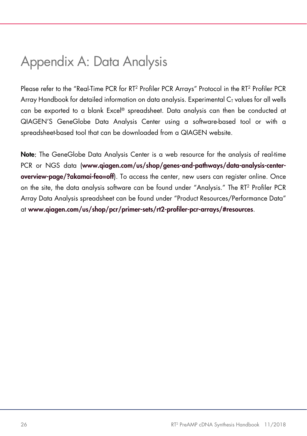# <span id="page-25-0"></span>Appendix A: Data Analysis

Please refer to the "Real-Time PCR for RT<sup>2</sup> Profiler PCR Arrays" Protocol in the RT<sup>2</sup> Profiler PCR Array Handbook for detailed information on data analysis. Experimental  $C<sub>I</sub>$  values for all wells can be exported to a blank Excel® spreadsheet. Data analysis can then be conducted at QIAGEN'S GeneGlobe Data Analysis Center using a software-based tool or with a spreadsheet-based tool that can be downloaded from a QIAGEN website.

Note: The GeneGlobe Data Analysis Center is a web resource for the analysis of real-time PCR or NGS data ([www.qiagen.com/us/shop/genes-and-pathways/data-analysis-center](http://www.qiagen.com/us/shop/genes-and-pathways/data-analysis-center-overview-page/?akamai-feo=off)[overview-page/?akamai-feo=off](http://www.qiagen.com/us/shop/genes-and-pathways/data-analysis-center-overview-page/?akamai-feo=off)). To access the center, new users can register online. Once on the site, the data analysis software can be found under "Analysis." The RT2 Profiler PCR Array Data Analysis spreadsheet can be found under "Product Resources/Performance Data" at [www.qiagen.com/us/shop/pcr/primer-sets/rt2-profiler-pcr-arrays/#resources](https://www.qiagen.com/us/shop/pcr/primer-sets/rt2-profiler-pcr-arrays/#resources).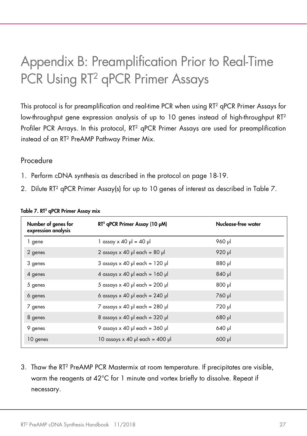# <span id="page-26-0"></span>Appendix B: Preamplification Prior to Real-Time PCR Using RT<sup>2</sup> qPCR Primer Assays

This protocol is for preamplification and real-time PCR when using RT2 qPCR Primer Assays for low-throughput gene expression analysis of up to 10 genes instead of high-throughput RT<sup>2</sup> Profiler PCR Arrays. In this protocol, RT<sup>2</sup> qPCR Primer Assays are used for preamplification instead of an RT2 PreAMP Pathway Primer Mix.

### Procedure

- 1. Perform cDNA synthesis as described in the protocol on page 18-19.
- 2. Dilute RT<sup>2</sup> qPCR Primer Assay(s) for up to 10 genes of interest as described in [Table 7.](#page-26-1)

| Number of genes for<br>expression analysis | $RT2$ qPCR Primer Assay (10 $\mu$ M)   | Nuclease-free water |
|--------------------------------------------|----------------------------------------|---------------------|
| 1 gene                                     | $\log$ assay x 40 µ = 40 µ             | 960 µl              |
| 2 genes                                    | 2 assays $\times$ 40 µ each = 80 µ     | 920 µl              |
| 3 genes                                    | 3 assays $\times$ 40 µ each = 120 µ    | lu 088              |
| 4 genes                                    | 4 assays $\times$ 40 µ each = 160 µ    | $840$ pl            |
| 5 genes                                    | 5 assays $\times$ 40 µ each = 200 µ    | $1u$ 008            |
| 6 genes                                    | 6 assays $\times$ 40 µ each = 240 µ    | 760 µl              |
| 7 genes                                    | 7 assays $\times$ 40 µ each = 280 µ    | 720 µl              |
| 8 genes                                    | 8 assays $\times$ 40 µ each = 320 µ    | $680$ pl            |
| 9 genes                                    | 9 assays $\times$ 40 µ each = 360 µ    | 640 µl              |
| 10 genes                                   | 10 assays $\times$ 40 µl each = 400 µl | $600$ $\mu$         |

#### <span id="page-26-1"></span>Table 7. RT<sup>2</sup> qPCR Primer Assay mix

3. Thaw the RT2 PreAMP PCR Mastermix at room temperature. If precipitates are visible, warm the reagents at 42°C for 1 minute and vortex briefly to dissolve. Repeat if necessary.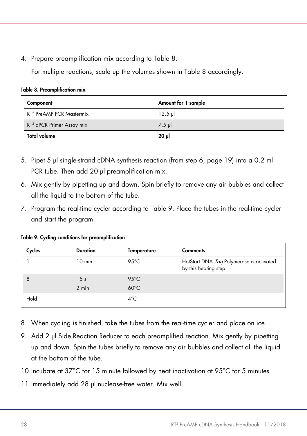4. Prepare preamplification mix according to [Table 8.](#page-27-0)

For multiple reactions, scale up the volumes shown in [Table 8](#page-27-0) accordingly.

| Component                             | Amount for 1 sample |  |
|---------------------------------------|---------------------|--|
| RT <sup>2</sup> PreAMP PCR Mastermix  | $12.5$ pl           |  |
| RT <sup>2</sup> qPCR Primer Assay mix | $7.5$ pl            |  |
| <b>Total volume</b>                   | 20 µl               |  |

<span id="page-27-0"></span>Table 8. Preamplification mix

- 5. Pipet 5 µl single-strand cDNA synthesis reaction (from step 6, page 19) into a 0.2 ml PCR tube. Then add 20 µl preamplification mix.
- 6. Mix gently by pipetting up and down. Spin briefly to remove any air bubbles and collect all the liquid to the bottom of the tube.
- 7. Program the real-time cycler according to [Table 9.](#page-27-1) Place the tubes in the real-time cycler and start the program.

<span id="page-27-1"></span>

|  |  |  |  | Table 9. Cycling conditions for preamplification |
|--|--|--|--|--------------------------------------------------|
|--|--|--|--|--------------------------------------------------|

| Cycles | <b>Duration</b> | Temperature    | <b>Comments</b>                                                   |
|--------|-----------------|----------------|-------------------------------------------------------------------|
|        | $10$ min        | 95 $°C$        | HotStart DNA Tag Polymerase is activated<br>by this heating step. |
| 8      | 15 <sub>s</sub> | $95^{\circ}$ C |                                                                   |
|        | $2 \text{ min}$ | $60^{\circ}$ C |                                                                   |
| Hold   |                 | $4^{\circ}$ C  |                                                                   |

- 8. When cycling is finished, take the tubes from the real-time cycler and place on ice.
- 9. Add 2 µl Side Reaction Reducer to each preamplified reaction. Mix gently by pipetting up and down. Spin the tubes briefly to remove any air bubbles and collect all the liquid at the bottom of the tube.

10.Incubate at 37°C for 15 minute followed by heat inactivation at 95°C for 5 minutes.

11.Immediately add 28 µl nuclease-free water. Mix well.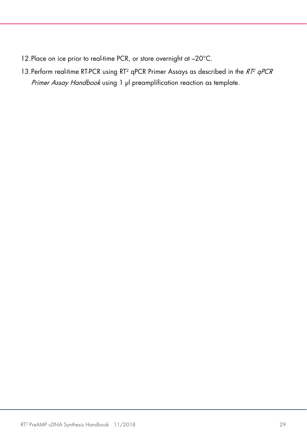- 12. Place on ice prior to real-time PCR, or store overnight at -20°C.
- 13. Perform real-time RT-PCR using RT<sup>2</sup> qPCR Primer Assays as described in the RT<sup>2</sup> qPCR Primer Assay Handbook using 1 µl preamplification reaction as template.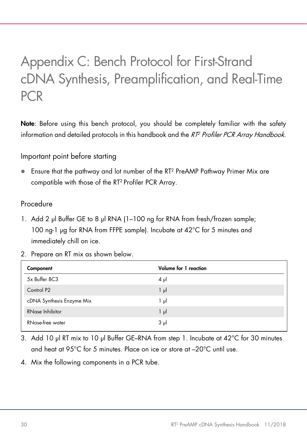# <span id="page-29-0"></span>Appendix C: Bench Protocol for First-Strand cDNA Synthesis, Preamplification, and Real-Time PCR

Note: Before using this bench protocol, you should be completely familiar with the safety information and detailed protocols in this handbook and the  $RT<sup>2</sup>$  Profiler PCR Array Handbook.

Important point before starting

 Ensure that the pathway and lot number of the RT2 PreAMP Pathway Primer Mix are compatible with those of the RT2 Profiler PCR Array.

### Procedure

- 1. Add 2 µl Buffer GE to 8 µl RNA (1-100 ng for RNA from fresh/frozen sample; 100 ng-1 µg for RNA from FFPE sample). Incubate at 42°C for 5 minutes and immediately chill on ice.
- 2. Prepare an RT mix as shown below.

| Component                 | Volume for 1 reaction |
|---------------------------|-----------------------|
| 5x Buffer BC3             | $4 \mu$               |
| Control P <sub>2</sub>    | $1 \mu$               |
| cDNA Synthesis Enzyme Mix | ایر 1                 |
| RNase Inhibitor           | $1 \mu$               |
| RNase-free water          | $3 \mu$               |

- 3. Add 10 µl RT mix to 10 µl Buffer GE–RNA from step 1. Incubate at 42°C for 30 minutes and heat at 95°C for 5 minutes. Place on ice or store at –20°C until use.
- 4. Mix the following components in a PCR tube.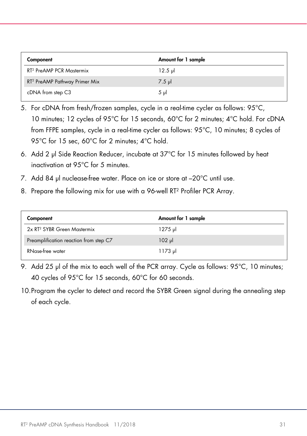| Component                                 | Amount for 1 sample |
|-------------------------------------------|---------------------|
| RT <sup>2</sup> PreAMP PCR Mastermix      | $12.5 \text{ pl}$   |
| RT <sup>2</sup> PreAMP Pathway Primer Mix | $7.5$ pl            |
| cDNA from step C3                         | $5 \text{ ul}$      |

- 5. For cDNA from fresh/frozen samples, cycle in a real-time cycler as follows: 95°C, 10 minutes; 12 cycles of 95°C for 15 seconds, 60°C for 2 minutes; 4°C hold. For cDNA from FFPE samples, cycle in a real-time cycler as follows: 95°C, 10 minutes; 8 cycles of 95°C for 15 sec, 60°C for 2 minutes; 4°C hold.
- 6. Add 2 µl Side Reaction Reducer, incubate at 37°C for 15 minutes followed by heat inactivation at 95°C for 5 minutes.
- 7. Add 84 µl nuclease-free water. Place on ice or store at –20°C until use.
- 8. Prepare the following mix for use with a 96-well RT2 Profiler PCR Array.

| Component                               | Amount for 1 sample |
|-----------------------------------------|---------------------|
| 2x RT <sup>2</sup> SYBR Green Mastermix | 1275 թվ             |
| Preamplification reaction from step C7  | $102$ pl            |
| RNase-free water                        | $1173 \mu$          |

- 9. Add 25 µl of the mix to each well of the PCR array. Cycle as follows: 95°C, 10 minutes; 40 cycles of 95°C for 15 seconds, 60°C for 60 seconds.
- 10.Program the cycler to detect and record the SYBR Green signal during the annealing step of each cycle.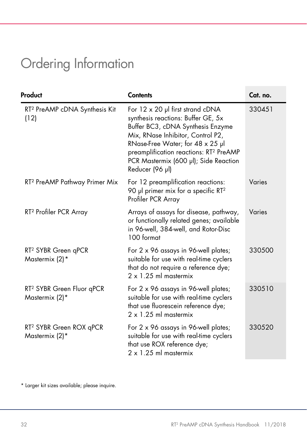# <span id="page-31-0"></span>Ordering Information

| Product                                                 | <b>Contents</b>                                                                                                                                                                                                                                                                                               | Cat. no. |
|---------------------------------------------------------|---------------------------------------------------------------------------------------------------------------------------------------------------------------------------------------------------------------------------------------------------------------------------------------------------------------|----------|
| RT <sup>2</sup> PreAMP cDNA Synthesis Kit<br>(12)       | For $12 \times 20$ µl first strand cDNA<br>synthesis reactions: Buffer GE, 5x<br>Buffer BC3, cDNA Synthesis Enzyme<br>Mix, RNase Inhibitor, Control P2,<br>RNase-Free Water; for 48 x 25 µl<br>preamplification reactions: RT <sup>2</sup> PreAMP<br>PCR Mastermix (600 µl); Side Reaction<br>Reducer (96 µl) | 330451   |
| RT <sup>2</sup> PreAMP Pathway Primer Mix               | For 12 preamplification reactions:<br>90 µl primer mix for a specific $RT^2$<br>Profiler PCR Array                                                                                                                                                                                                            | Varies   |
| RT <sup>2</sup> Profiler PCR Array                      | Arrays of assays for disease, pathway,<br>or functionally related genes; available<br>in 96-well, 384-well, and Rotor-Disc<br>100 format                                                                                                                                                                      | Varies   |
| RT <sup>2</sup> SYBR Green qPCR<br>Mastermix (2)*       | For 2 x 96 assays in 96-well plates;<br>suitable for use with real-time cyclers<br>that do not require a reference dye;<br>$2 \times 1.25$ ml mastermix                                                                                                                                                       | 330500   |
| RT <sup>2</sup> SYBR Green Fluor qPCR<br>Mastermix (2)* | For 2 x 96 assays in 96-well plates;<br>suitable for use with real-time cyclers<br>that use fluorescein reference dye;<br>$2 \times 1.25$ ml mastermix                                                                                                                                                        | 330510   |
| RT <sup>2</sup> SYBR Green ROX qPCR<br>Mastermix (2)*   | For 2 x 96 assays in 96-well plates;<br>suitable for use with real-time cyclers<br>that use ROX reference dye;<br>$2 \times 1.25$ ml mastermix                                                                                                                                                                | 330520   |

<span id="page-31-1"></span>\* Larger kit sizes available; please inquire.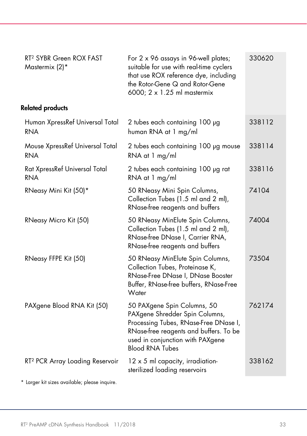| For 2 x 96 assays in 96-well plates;<br>suitable for use with real-time cyclers<br>that use ROX reference dye, including<br>the Rotor-Gene Q and Rotor-Gene<br>6000; 2 x 1.25 ml mastermix                     | 330620 |
|----------------------------------------------------------------------------------------------------------------------------------------------------------------------------------------------------------------|--------|
|                                                                                                                                                                                                                |        |
| 2 tubes each containing 100 µg<br>human RNA at 1 mg/ml                                                                                                                                                         | 338112 |
| 2 tubes each containing 100 µg mouse<br>RNA at 1 mg/ml                                                                                                                                                         | 338114 |
| 2 tubes each containing 100 µg rat<br>RNA at 1 mg/ml                                                                                                                                                           | 338116 |
| 50 RNeasy Mini Spin Columns,<br>Collection Tubes (1.5 ml and 2 ml),<br>RNase-free reagents and buffers                                                                                                         | 74104  |
| 50 RNeasy MinElute Spin Columns,<br>Collection Tubes (1.5 ml and 2 ml),<br>RNase-free DNase I, Carrier RNA,<br>RNase-free reagents and buffers                                                                 | 74004  |
| 50 RNeasy MinElute Spin Columns,<br>Collection Tubes, Proteinase K,<br>RNase-Free DNase I, DNase Booster<br>Buffer, RNase-free buffers, RNase-Free<br>Water                                                    | 73504  |
| 50 PAXgene Spin Columns, 50<br>PAXgene Shredder Spin Columns,<br>Processing Tubes, RNase-Free DNase I,<br>RNase-free reagents and buffers. To be<br>used in conjunction with PAXgene<br><b>Blood RNA Tubes</b> | 762174 |
| 12 x 5 ml capacity, irradiation-<br>sterilized loading reservoirs                                                                                                                                              | 338162 |
|                                                                                                                                                                                                                |        |

\* Larger kit sizes available; please inquire.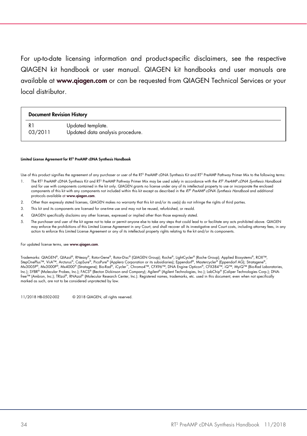For up-to-date licensing information and product-specific disclaimers, see the respective QIAGEN kit handbook or user manual. QIAGEN kit handbooks and user manuals are available at [www.qiagen.com](http://www.qiagen.com/) or can be requested from QIAGEN Technical Services or your local distributor.

| <b>Document Revision History</b> |  |
|----------------------------------|--|
|                                  |  |

R1 03/2011 Updated template. Updated data analysis procedure.

#### Limited License Agreement for RT2 PreAMP cDNA Synthesis Handbook

Use of this product signifies the agreement of any purchaser or user of the RT<sup>2</sup> PreAMP cDNA Synthesis Kit and RT<sup>2</sup> PreAMP Pathway Primer Mix to the following terms:

- The RT<sup>2</sup> PreAMP cDNA Synthesis Kit and RT<sup>2</sup> PreAMP Pathway Primer Mix may be used solely in accordance with the RT<sup>2</sup> PreAMP cDNA Synthesis Handbook and for use with components contained in the kit only. QIAGEN grants no license under any of its intellectual property to use or incorporate the enclosed components of this kit with any components not included within this kit except as described in the RT2 PreAMP cDNA Synthesis Handbook and additional protocols available at [www.qiagen.com](http://www.qiagen.com/).
- 2. Other than expressly stated licenses, QIAGEN makes no warranty that this kit and/or its use(s) do not infringe the rights of third parties.
- 3. This kit and its components are licensed for one-time use and may not be reused, refurbished, or resold.
- 4. QIAGEN specifically disclaims any other licenses, expressed or implied other than those expressly stated.
- 5. The purchaser and user of the kit agree not to take or permit anyone else to take any steps that could lead to or facilitate any acts prohibited above. QIAGEN may enforce the prohibitions of this Limited License Agreement in any Court, and shall recover all its investigative and Court costs, including attorney fees, in any action to enforce this Limited License Agreement or any of its intellectual property rights relating to the kit and/or its components.

For updated license terms, see www.aiagen.com.

Trademarks: QIAGEN®, QIAzol®, RNeasy®, Rotor-Gene®, Rotor-Disc® (QIAGEN Group); Roche®, LightCycler® (Roche Group); Applied Biosystems®, ROX™, StepOnePlus™, ViiA™, Arcturus®, CapSure®, PicoPure® (Applera Corporation or its subsidiaries); Eppendorf®, Mastercycler® (Eppendorf AG); Stratagene®,<br>Mx3005P®, Mx3000P®, Mx4000® (Stratagene); Bio-Rad®, iCycler™, Cmromo4™, Inc.); SYBR® (Molecular Probes, Inc.); FACS® (Becton Dickinson and Company); Agilent® (Agilent Technologies, Inc.); LabChip® (Caliper Technologies Corp.); DNAfree™ (Ambion, Inc.); TRIzol®, RNAzol® (Molecular Research Center, Inc.). Registered names, trademarks, etc. used in this document, even when not specifically marked as such, are not to be considered unprotected by law.

11/2018 HB-0502-002 © 2018 QIAGEN, all rights reserved.